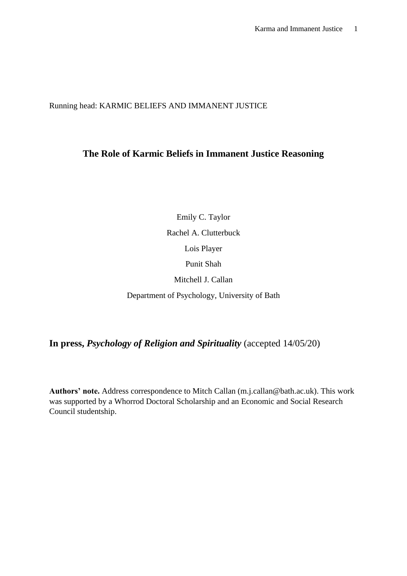## Running head: KARMIC BELIEFS AND IMMANENT JUSTICE

# **The Role of Karmic Beliefs in Immanent Justice Reasoning**

Emily C. Taylor Rachel A. Clutterbuck Lois Player Punit Shah Mitchell J. Callan Department of Psychology, University of Bath

**In press,** *Psychology of Religion and Spirituality* (accepted 14/05/20)

**Authors' note.** Address correspondence to Mitch Callan (m.j.callan@bath.ac.uk). This work was supported by a Whorrod Doctoral Scholarship and an Economic and Social Research Council studentship.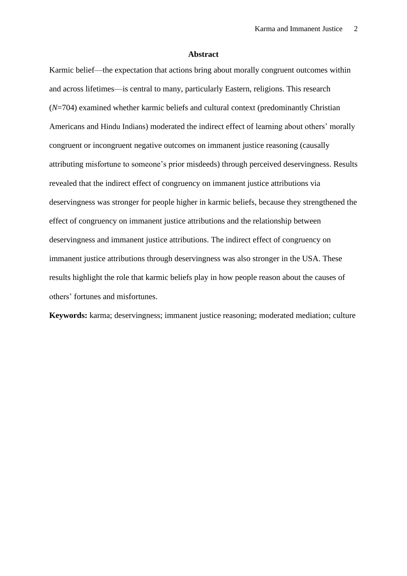#### **Abstract**

Karmic belief—the expectation that actions bring about morally congruent outcomes within and across lifetimes—is central to many, particularly Eastern, religions. This research (*N*=704) examined whether karmic beliefs and cultural context (predominantly Christian Americans and Hindu Indians) moderated the indirect effect of learning about others' morally congruent or incongruent negative outcomes on immanent justice reasoning (causally attributing misfortune to someone's prior misdeeds) through perceived deservingness. Results revealed that the indirect effect of congruency on immanent justice attributions via deservingness was stronger for people higher in karmic beliefs, because they strengthened the effect of congruency on immanent justice attributions and the relationship between deservingness and immanent justice attributions. The indirect effect of congruency on immanent justice attributions through deservingness was also stronger in the USA. These results highlight the role that karmic beliefs play in how people reason about the causes of others' fortunes and misfortunes.

**Keywords:** karma; deservingness; immanent justice reasoning; moderated mediation; culture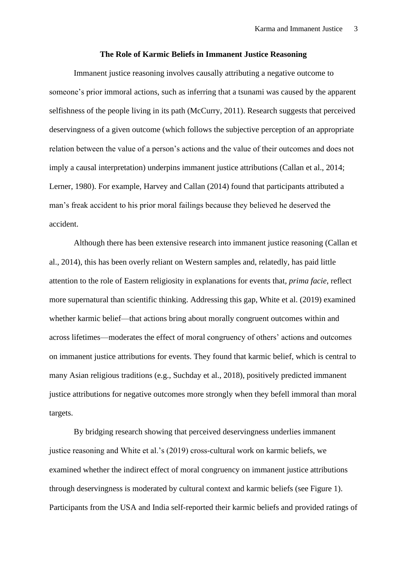#### **The Role of Karmic Beliefs in Immanent Justice Reasoning**

Immanent justice reasoning involves causally attributing a negative outcome to someone's prior immoral actions, such as inferring that a tsunami was caused by the apparent selfishness of the people living in its path (McCurry, 2011). Research suggests that perceived deservingness of a given outcome (which follows the subjective perception of an appropriate relation between the value of a person's actions and the value of their outcomes and does not imply a causal interpretation) underpins immanent justice attributions (Callan et al., 2014; Lerner, 1980). For example, Harvey and Callan (2014) found that participants attributed a man's freak accident to his prior moral failings because they believed he deserved the accident.

Although there has been extensive research into immanent justice reasoning (Callan et al., 2014), this has been overly reliant on Western samples and, relatedly, has paid little attention to the role of Eastern religiosity in explanations for events that*, prima facie*, reflect more supernatural than scientific thinking. Addressing this gap, White et al. (2019) examined whether karmic belief—that actions bring about morally congruent outcomes within and across lifetimes—moderates the effect of moral congruency of others' actions and outcomes on immanent justice attributions for events. They found that karmic belief, which is central to many Asian religious traditions (e.g., Suchday et al., 2018), positively predicted immanent justice attributions for negative outcomes more strongly when they befell immoral than moral targets.

By bridging research showing that perceived deservingness underlies immanent justice reasoning and White et al.'s (2019) cross-cultural work on karmic beliefs, we examined whether the indirect effect of moral congruency on immanent justice attributions through deservingness is moderated by cultural context and karmic beliefs (see Figure 1). Participants from the USA and India self-reported their karmic beliefs and provided ratings of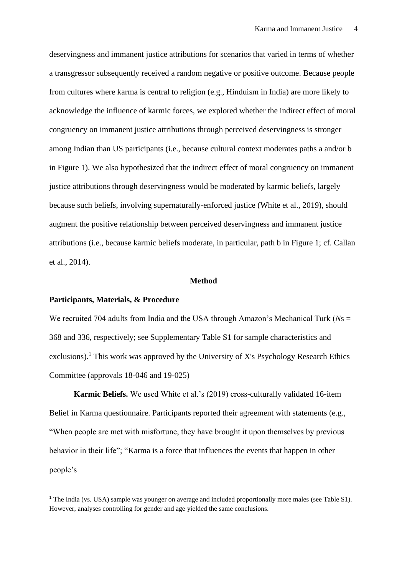deservingness and immanent justice attributions for scenarios that varied in terms of whether a transgressor subsequently received a random negative or positive outcome. Because people from cultures where karma is central to religion (e.g., Hinduism in India) are more likely to acknowledge the influence of karmic forces, we explored whether the indirect effect of moral congruency on immanent justice attributions through perceived deservingness is stronger among Indian than US participants (i.e., because cultural context moderates paths a and/or b in Figure 1). We also hypothesized that the indirect effect of moral congruency on immanent justice attributions through deservingness would be moderated by karmic beliefs, largely because such beliefs, involving supernaturally-enforced justice (White et al., 2019), should augment the positive relationship between perceived deservingness and immanent justice attributions (i.e., because karmic beliefs moderate, in particular, path b in Figure 1; cf. Callan et al., 2014).

#### **Method**

#### **Participants, Materials, & Procedure**

We recruited 704 adults from India and the USA through Amazon's Mechanical Turk (*Ns* = 368 and 336, respectively; see Supplementary Table S1 for sample characteristics and exclusions).<sup>1</sup> This work was approved by the University of X's Psychology Research Ethics Committee (approvals 18-046 and 19-025)

**Karmic Beliefs.** We used White et al.'s (2019) cross-culturally validated 16-item Belief in Karma questionnaire. Participants reported their agreement with statements (e.g., "When people are met with misfortune, they have brought it upon themselves by previous behavior in their life"; "Karma is a force that influences the events that happen in other people's

<sup>&</sup>lt;sup>1</sup> The India (vs. USA) sample was younger on average and included proportionally more males (see Table S1). However, analyses controlling for gender and age yielded the same conclusions.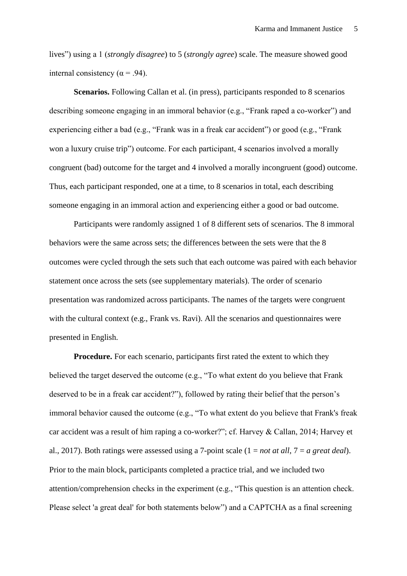lives") using a 1 (*strongly disagree*) to 5 (*strongly agree*) scale. The measure showed good internal consistency ( $\alpha$  = .94).

**Scenarios.** Following Callan et al. (in press), participants responded to 8 scenarios describing someone engaging in an immoral behavior (e.g., "Frank raped a co-worker") and experiencing either a bad (e.g., "Frank was in a freak car accident") or good (e.g., "Frank won a luxury cruise trip") outcome. For each participant, 4 scenarios involved a morally congruent (bad) outcome for the target and 4 involved a morally incongruent (good) outcome. Thus, each participant responded, one at a time, to 8 scenarios in total, each describing someone engaging in an immoral action and experiencing either a good or bad outcome.

Participants were randomly assigned 1 of 8 different sets of scenarios. The 8 immoral behaviors were the same across sets; the differences between the sets were that the 8 outcomes were cycled through the sets such that each outcome was paired with each behavior statement once across the sets (see supplementary materials). The order of scenario presentation was randomized across participants. The names of the targets were congruent with the cultural context (e.g., Frank vs. Ravi). All the scenarios and questionnaires were presented in English.

**Procedure.** For each scenario, participants first rated the extent to which they believed the target deserved the outcome (e.g., "To what extent do you believe that Frank deserved to be in a freak car accident?"), followed by rating their belief that the person's immoral behavior caused the outcome (e.g., "To what extent do you believe that Frank's freak car accident was a result of him raping a co-worker?"; cf. Harvey & Callan, 2014; Harvey et al., 2017). Both ratings were assessed using a 7-point scale (1 = *not at all*, 7 = *a great deal*). Prior to the main block, participants completed a practice trial, and we included two attention/comprehension checks in the experiment (e.g., "This question is an attention check. Please select 'a great deal' for both statements below") and a CAPTCHA as a final screening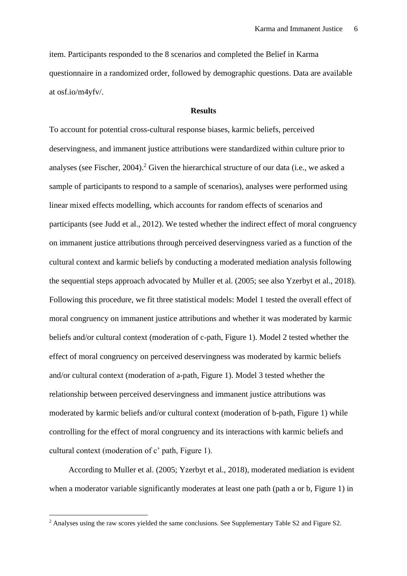item. Participants responded to the 8 scenarios and completed the Belief in Karma questionnaire in a randomized order, followed by demographic questions. Data are available at osf.io/m4yfv/.

### **Results**

To account for potential cross-cultural response biases, karmic beliefs, perceived deservingness, and immanent justice attributions were standardized within culture prior to analyses (see Fischer, 2004).<sup>2</sup> Given the hierarchical structure of our data (i.e., we asked a sample of participants to respond to a sample of scenarios), analyses were performed using linear mixed effects modelling, which accounts for random effects of scenarios and participants (see Judd et al., 2012). We tested whether the indirect effect of moral congruency on immanent justice attributions through perceived deservingness varied as a function of the cultural context and karmic beliefs by conducting a moderated mediation analysis following the sequential steps approach advocated by Muller et al. (2005; see also Yzerbyt et al., 2018). Following this procedure, we fit three statistical models: Model 1 tested the overall effect of moral congruency on immanent justice attributions and whether it was moderated by karmic beliefs and/or cultural context (moderation of c-path, Figure 1). Model 2 tested whether the effect of moral congruency on perceived deservingness was moderated by karmic beliefs and/or cultural context (moderation of a-path, Figure 1). Model 3 tested whether the relationship between perceived deservingness and immanent justice attributions was moderated by karmic beliefs and/or cultural context (moderation of b-path, Figure 1) while controlling for the effect of moral congruency and its interactions with karmic beliefs and cultural context (moderation of c' path, Figure 1).

According to Muller et al. (2005; Yzerbyt et al., 2018), moderated mediation is evident when a moderator variable significantly moderates at least one path (path a or b, Figure 1) in

<sup>2</sup> Analyses using the raw scores yielded the same conclusions. See Supplementary Table S2 and Figure S2.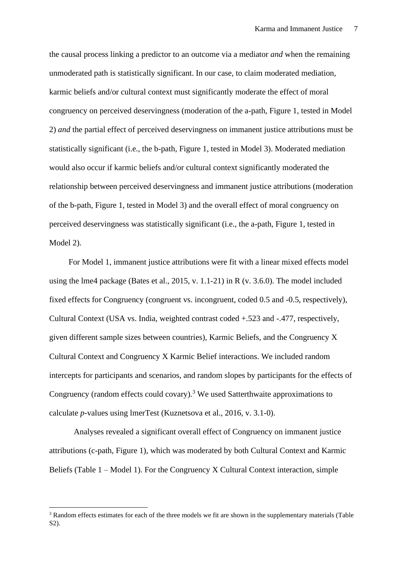the causal process linking a predictor to an outcome via a mediator *and* when the remaining unmoderated path is statistically significant. In our case, to claim moderated mediation, karmic beliefs and/or cultural context must significantly moderate the effect of moral congruency on perceived deservingness (moderation of the a-path, Figure 1, tested in Model 2) *and* the partial effect of perceived deservingness on immanent justice attributions must be statistically significant (i.e., the b-path, Figure 1, tested in Model 3). Moderated mediation would also occur if karmic beliefs and/or cultural context significantly moderated the relationship between perceived deservingness and immanent justice attributions (moderation of the b-path, Figure 1, tested in Model 3) and the overall effect of moral congruency on perceived deservingness was statistically significant (i.e., the a-path, Figure 1, tested in Model 2).

For Model 1, immanent justice attributions were fit with a linear mixed effects model using the lme4 package (Bates et al., 2015, v. 1.1-21) in R (v. 3.6.0). The model included fixed effects for Congruency (congruent vs. incongruent, coded 0.5 and -0.5, respectively), Cultural Context (USA vs. India, weighted contrast coded +.523 and -.477, respectively, given different sample sizes between countries), Karmic Beliefs, and the Congruency X Cultural Context and Congruency X Karmic Belief interactions. We included random intercepts for participants and scenarios, and random slopes by participants for the effects of Congruency (random effects could covary).<sup>3</sup> We used Satterthwaite approximations to calculate *p*-values using lmerTest (Kuznetsova et al., 2016, v. 3.1-0).

Analyses revealed a significant overall effect of Congruency on immanent justice attributions (c-path, Figure 1), which was moderated by both Cultural Context and Karmic Beliefs (Table 1 – Model 1). For the Congruency X Cultural Context interaction, simple

<sup>&</sup>lt;sup>3</sup> Random effects estimates for each of the three models we fit are shown in the supplementary materials (Table S2).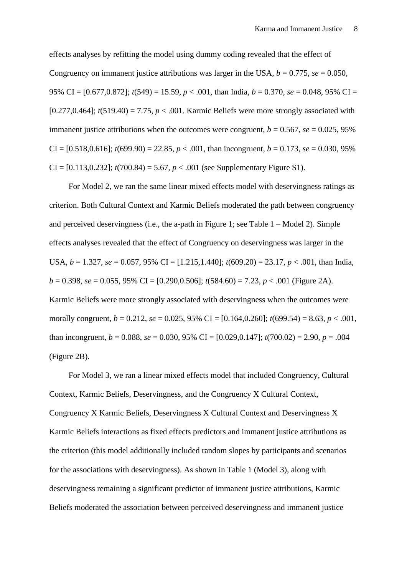effects analyses by refitting the model using dummy coding revealed that the effect of Congruency on immanent justice attributions was larger in the USA,  $b = 0.775$ ,  $se = 0.050$ , 95% CI = [0.677,0.872]; *t*(549) = 15.59, *p* < .001, than India, *b* = 0.370, *se* = 0.048, 95% CI =  $[0.277, 0.464]$ ;  $t(519.40) = 7.75$ ,  $p < .001$ . Karmic Beliefs were more strongly associated with immanent justice attributions when the outcomes were congruent,  $b = 0.567$ ,  $se = 0.025$ , 95%  $CI = [0.518, 0.616]$ ;  $t(699.90) = 22.85$ ,  $p < .001$ , than incongruent,  $b = 0.173$ ,  $se = 0.030$ , 95%  $CI = [0.113, 0.232]$ ;  $t(700.84) = 5.67$ ,  $p < .001$  (see Supplementary Figure S1).

For Model 2, we ran the same linear mixed effects model with deservingness ratings as criterion. Both Cultural Context and Karmic Beliefs moderated the path between congruency and perceived deservingness (i.e., the a-path in Figure 1; see Table  $1 -$  Model 2). Simple effects analyses revealed that the effect of Congruency on deservingness was larger in the USA, *b* = 1.327, *se* = 0.057, 95% CI = [1.215,1.440]; *t*(609.20) = 23.17, *p* < .001, than India,  $b = 0.398$ ,  $se = 0.055$ , 95% CI = [0.290,0.506];  $t(584.60) = 7.23$ ,  $p < .001$  (Figure 2A). Karmic Beliefs were more strongly associated with deservingness when the outcomes were morally congruent, *b* = 0.212, *se* = 0.025, 95% CI = [0.164,0.260]; *t*(699.54) = 8.63, *p* < .001, than incongruent,  $b = 0.088$ ,  $se = 0.030$ ,  $95\%$  CI = [0.029,0.147];  $t(700.02) = 2.90$ ,  $p = .004$ (Figure 2B).

For Model 3, we ran a linear mixed effects model that included Congruency, Cultural Context, Karmic Beliefs, Deservingness, and the Congruency X Cultural Context, Congruency X Karmic Beliefs, Deservingness X Cultural Context and Deservingness X Karmic Beliefs interactions as fixed effects predictors and immanent justice attributions as the criterion (this model additionally included random slopes by participants and scenarios for the associations with deservingness). As shown in Table 1 (Model 3), along with deservingness remaining a significant predictor of immanent justice attributions, Karmic Beliefs moderated the association between perceived deservingness and immanent justice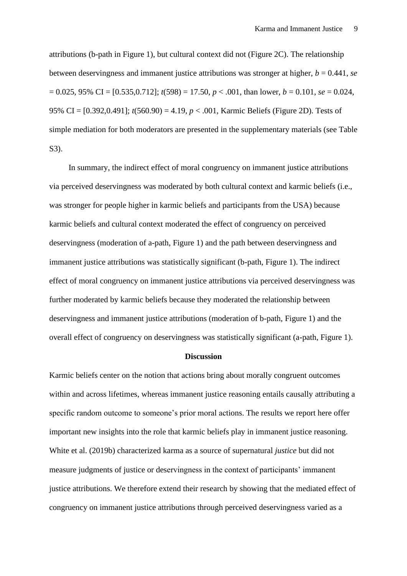attributions (b-path in Figure 1), but cultural context did not (Figure 2C). The relationship between deservingness and immanent justice attributions was stronger at higher, *b* = 0.441, *se*  $= 0.025, 95\% \text{ CI} = [0.535, 0.712]; t(598) = 17.50, p < .001$ , than lower,  $b = 0.101$ ,  $se = 0.024$ , 95% CI = [0.392,0.491]; *t*(560.90) = 4.19, *p* < .001, Karmic Beliefs (Figure 2D). Tests of simple mediation for both moderators are presented in the supplementary materials (see Table S3).

In summary, the indirect effect of moral congruency on immanent justice attributions via perceived deservingness was moderated by both cultural context and karmic beliefs (i.e., was stronger for people higher in karmic beliefs and participants from the USA) because karmic beliefs and cultural context moderated the effect of congruency on perceived deservingness (moderation of a-path, Figure 1) and the path between deservingness and immanent justice attributions was statistically significant (b-path, Figure 1). The indirect effect of moral congruency on immanent justice attributions via perceived deservingness was further moderated by karmic beliefs because they moderated the relationship between deservingness and immanent justice attributions (moderation of b-path, Figure 1) and the overall effect of congruency on deservingness was statistically significant (a-path, Figure 1).

### **Discussion**

Karmic beliefs center on the notion that actions bring about morally congruent outcomes within and across lifetimes, whereas immanent justice reasoning entails causally attributing a specific random outcome to someone's prior moral actions. The results we report here offer important new insights into the role that karmic beliefs play in immanent justice reasoning. White et al. (2019b) characterized karma as a source of supernatural *justice* but did not measure judgments of justice or deservingness in the context of participants' immanent justice attributions. We therefore extend their research by showing that the mediated effect of congruency on immanent justice attributions through perceived deservingness varied as a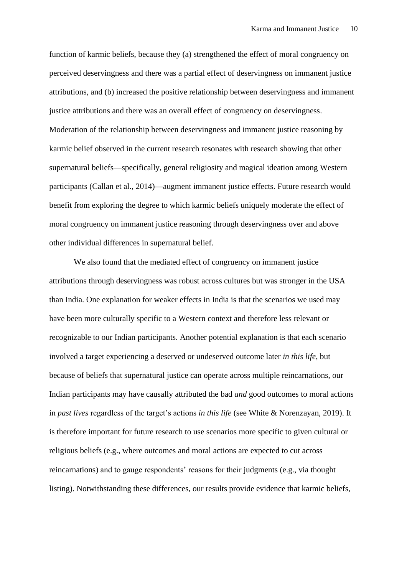function of karmic beliefs, because they (a) strengthened the effect of moral congruency on perceived deservingness and there was a partial effect of deservingness on immanent justice attributions, and (b) increased the positive relationship between deservingness and immanent justice attributions and there was an overall effect of congruency on deservingness. Moderation of the relationship between deservingness and immanent justice reasoning by karmic belief observed in the current research resonates with research showing that other supernatural beliefs—specifically, general religiosity and magical ideation among Western participants (Callan et al., 2014)—augment immanent justice effects. Future research would benefit from exploring the degree to which karmic beliefs uniquely moderate the effect of moral congruency on immanent justice reasoning through deservingness over and above other individual differences in supernatural belief.

We also found that the mediated effect of congruency on immanent justice attributions through deservingness was robust across cultures but was stronger in the USA than India. One explanation for weaker effects in India is that the scenarios we used may have been more culturally specific to a Western context and therefore less relevant or recognizable to our Indian participants. Another potential explanation is that each scenario involved a target experiencing a deserved or undeserved outcome later *in this life*, but because of beliefs that supernatural justice can operate across multiple reincarnations, our Indian participants may have causally attributed the bad *and* good outcomes to moral actions in *past lives* regardless of the target's actions *in this life* (see White & Norenzayan, 2019). It is therefore important for future research to use scenarios more specific to given cultural or religious beliefs (e.g., where outcomes and moral actions are expected to cut across reincarnations) and to gauge respondents' reasons for their judgments (e.g., via thought listing). Notwithstanding these differences, our results provide evidence that karmic beliefs,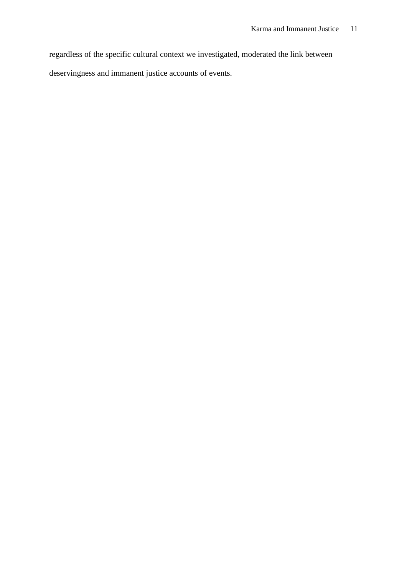regardless of the specific cultural context we investigated, moderated the link between deservingness and immanent justice accounts of events.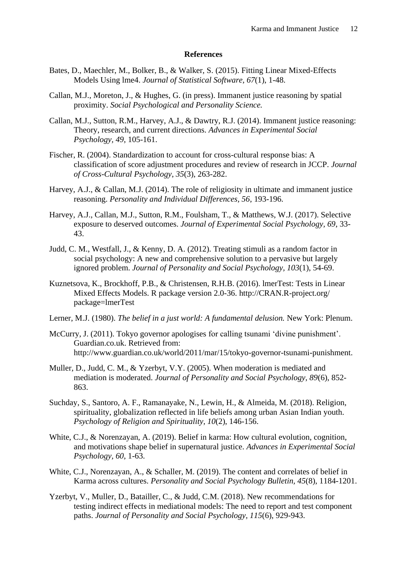#### **References**

- Bates, D., Maechler, M., Bolker, B., & Walker, S. (2015). Fitting Linear Mixed-Effects Models Using lme4. *Journal of Statistical Software, 67*(1), 1-48.
- Callan, M.J., Moreton, J., & Hughes, G. (in press). Immanent justice reasoning by spatial proximity. *Social Psychological and Personality Science.*
- Callan, M.J., Sutton, R.M., Harvey, A.J., & Dawtry, R.J. (2014). Immanent justice reasoning: Theory, research, and current directions. *Advances in Experimental Social Psychology, 49*, 105-161.
- Fischer, R. (2004). Standardization to account for cross-cultural response bias: A classification of score adjustment procedures and review of research in JCCP. *Journal of Cross-Cultural Psychology*, *35*(3), 263-282.
- Harvey, A.J., & Callan, M.J. (2014). The role of religiosity in ultimate and immanent justice reasoning. *Personality and Individual Differences, 56*, 193-196.
- Harvey, A.J., Callan, M.J., Sutton, R.M., Foulsham, T., & Matthews, W.J. (2017). Selective exposure to deserved outcomes. *Journal of Experimental Social Psychology, 69*, 33- 43.
- Judd, C. M., Westfall, J., & Kenny, D. A. (2012). Treating stimuli as a random factor in social psychology: A new and comprehensive solution to a pervasive but largely ignored problem. *Journal of Personality and Social Psychology, 103*(1), 54-69.
- Kuznetsova, K., Brockhoff, P.B., & Christensen, R.H.B. (2016). lmerTest: Tests in Linear Mixed Effects Models. R package version 2.0-36. http://CRAN.R-project.org/ package=lmerTest
- Lerner, M.J. (1980). *The belief in a just world: A fundamental delusion.* New York: Plenum.
- McCurry, J. (2011). Tokyo governor apologises for calling tsunami 'divine punishment'. Guardian.co.uk. Retrieved from: http://www.guardian.co.uk/world/2011/mar/15/tokyo-governor-tsunami-punishment.
- Muller, D., Judd, C. M., & Yzerbyt, V.Y. (2005). When moderation is mediated and mediation is moderated. *Journal of Personality and Social Psychology, 89*(6), 852- 863.
- Suchday, S., Santoro, A. F., Ramanayake, N., Lewin, H., & Almeida, M. (2018). Religion, spirituality, globalization reflected in life beliefs among urban Asian Indian youth. *Psychology of Religion and Spirituality, 10*(2), 146-156.
- White, C.J., & Norenzayan, A. (2019). Belief in karma: How cultural evolution, cognition, and motivations shape belief in supernatural justice. *Advances in Experimental Social Psychology, 60*, 1-63.
- White, C.J., Norenzayan, A., & Schaller, M. (2019). The content and correlates of belief in Karma across cultures. *Personality and Social Psychology Bulletin, 45*(8), 1184-1201.
- Yzerbyt, V., Muller, D., Batailler, C., & Judd, C.M. (2018). New recommendations for testing indirect effects in mediational models: The need to report and test component paths. *Journal of Personality and Social Psychology, 115*(6), 929-943.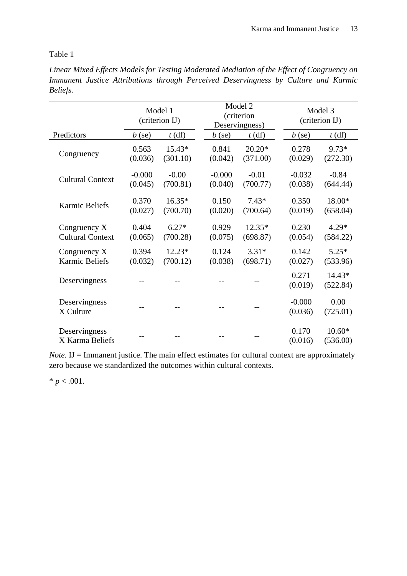### Table 1

|                                  | Model 1<br>(criterion IJ) |          | Model 2<br>(criterion<br>Deservingness) |          | Model 3<br>(criterion IJ) |                      |
|----------------------------------|---------------------------|----------|-----------------------------------------|----------|---------------------------|----------------------|
| Predictors                       | $b$ (se)                  | $t$ (df) | $b$ (se)                                | $t$ (df) | $b$ (se)                  | $t$ (df)             |
| Congruency                       | 0.563                     | $15.43*$ | 0.841                                   | $20.20*$ | 0.278                     | 9.73*                |
|                                  | (0.036)                   | (301.10) | (0.042)                                 | (371.00) | (0.029)                   | (272.30)             |
| <b>Cultural Context</b>          | $-0.000$                  | $-0.00$  | $-0.000$                                | $-0.01$  | $-0.032$                  | $-0.84$              |
|                                  | (0.045)                   | (700.81) | (0.040)                                 | (700.77) | (0.038)                   | (644.44)             |
| <b>Karmic Beliefs</b>            | 0.370                     | $16.35*$ | 0.150                                   | $7.43*$  | 0.350                     | 18.00*               |
|                                  | (0.027)                   | (700.70) | (0.020)                                 | (700.64) | (0.019)                   | (658.04)             |
| Congruency X                     | 0.404                     | $6.27*$  | 0.929                                   | $12.35*$ | 0.230                     | $4.29*$              |
| <b>Cultural Context</b>          | (0.065)                   | (700.28) | (0.075)                                 | (698.87) | (0.054)                   | (584.22)             |
| Congruency X                     | 0.394                     | 12.23*   | 0.124                                   | $3.31*$  | 0.142                     | $5.25*$              |
| Karmic Beliefs                   | (0.032)                   | (700.12) | (0.038)                                 | (698.71) | (0.027)                   | (533.96)             |
| Deservingness                    |                           |          |                                         |          | 0.271<br>(0.019)          | 14.43*<br>(522.84)   |
| Deservingness<br>X Culture       |                           |          |                                         |          | $-0.000$<br>(0.036)       | 0.00<br>(725.01)     |
| Deservingness<br>X Karma Beliefs |                           |          |                                         |          | 0.170<br>(0.016)          | $10.60*$<br>(536.00) |

*Linear Mixed Effects Models for Testing Moderated Mediation of the Effect of Congruency on Immanent Justice Attributions through Perceived Deservingness by Culture and Karmic Beliefs.*

 $Note.$  IJ = Immanent justice. The main effect estimates for cultural context are approximately zero because we standardized the outcomes within cultural contexts.

 $* p < .001.$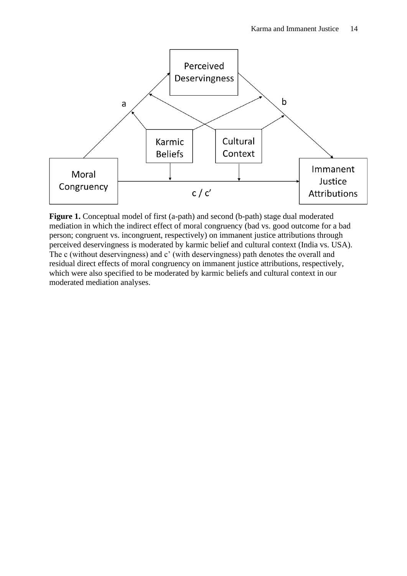

**Figure 1.** Conceptual model of first (a-path) and second (b-path) stage dual moderated mediation in which the indirect effect of moral congruency (bad vs. good outcome for a bad person; congruent vs. incongruent, respectively) on immanent justice attributions through perceived deservingness is moderated by karmic belief and cultural context (India vs. USA). The c (without deservingness) and c' (with deservingness) path denotes the overall and residual direct effects of moral congruency on immanent justice attributions, respectively, which were also specified to be moderated by karmic beliefs and cultural context in our moderated mediation analyses.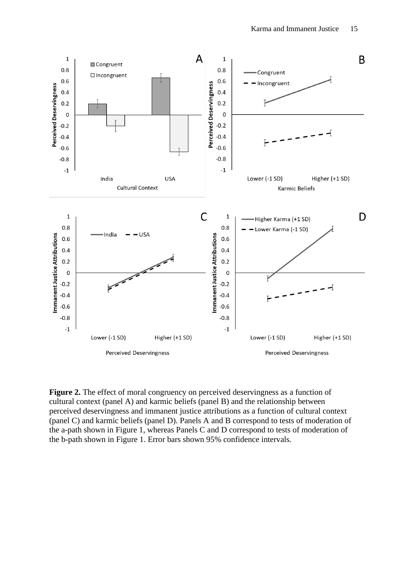

**Figure 2.** The effect of moral congruency on perceived deservingness as a function of cultural context (panel A) and karmic beliefs (panel B) and the relationship between perceived deservingness and immanent justice attributions as a function of cultural context (panel C) and karmic beliefs (panel D). Panels A and B correspond to tests of moderation of the a-path shown in Figure 1, whereas Panels C and D correspond to tests of moderation of the b-path shown in Figure 1. Error bars shown 95% confidence intervals.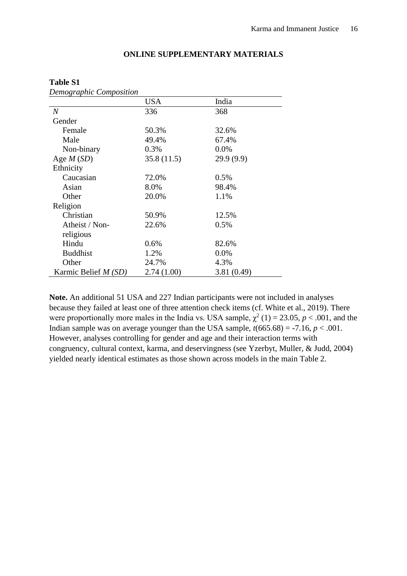| Demographic Composition |            |            |
|-------------------------|------------|------------|
|                         | USA        | India      |
| $\it N$                 | 336        | 368        |
| Gender                  |            |            |
| Female                  | 50.3%      | 32.6%      |
| Male                    | 49.4%      | 67.4%      |
| Non-binary              | 0.3%       | $0.0\%$    |
| Age $M(SD)$             | 35.8(11.5) | 29.9(9.9)  |
| Ethnicity               |            |            |
| Caucasian               | 72.0%      | 0.5%       |
| Asian                   | 8.0%       | 98.4%      |
| Other                   | 20.0%      | 1.1%       |
| Religion                |            |            |
| Christian               | 50.9%      | 12.5%      |
| Atheist / Non-          | 22.6%      | 0.5%       |
| religious               |            |            |
| Hindu                   | 0.6%       | 82.6%      |
| <b>Buddhist</b>         | 1.2%       | 0.0%       |
| Other                   | 24.7%      | 4.3%       |
| Karmic Belief $M(SD)$   | 2.74(1.00) | 3.81(0.49) |

### **ONLINE SUPPLEMENTARY MATERIALS**

**Note.** An additional 51 USA and 227 Indian participants were not included in analyses because they failed at least one of three attention check items (cf. White et al., 2019). There were proportionally more males in the India vs. USA sample,  $\chi^2$  (1) = 23.05, *p* < .001, and the Indian sample was on average younger than the USA sample,  $t(665.68) = -7.16$ ,  $p < .001$ . However, analyses controlling for gender and age and their interaction terms with congruency, cultural context, karma, and deservingness (see Yzerbyt, Muller, & Judd, 2004) yielded nearly identical estimates as those shown across models in the main Table 2.

# **Table S1**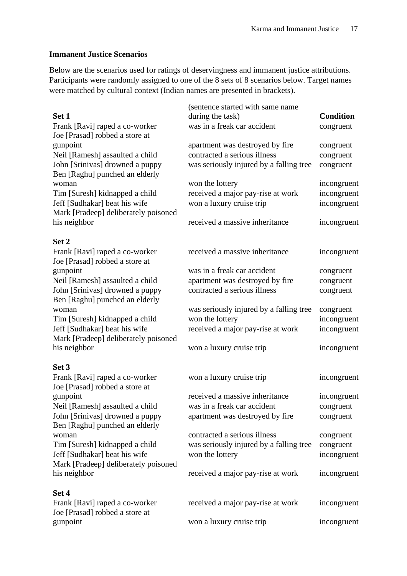## **Immanent Justice Scenarios**

Below are the scenarios used for ratings of deservingness and immanent justice attributions. Participants were randomly assigned to one of the 8 sets of 8 scenarios below. Target names were matched by cultural context (Indian names are presented in brackets).

|                                                                   | (sentence started with same name        |                  |
|-------------------------------------------------------------------|-----------------------------------------|------------------|
| Set 1                                                             | during the task)                        | <b>Condition</b> |
| Frank [Ravi] raped a co-worker                                    | was in a freak car accident             | congruent        |
| Joe [Prasad] robbed a store at                                    |                                         |                  |
| gunpoint                                                          | apartment was destroyed by fire         | congruent        |
| Neil [Ramesh] assaulted a child                                   | contracted a serious illness            | congruent        |
| John [Srinivas] drowned a puppy                                   | was seriously injured by a falling tree | congruent        |
| Ben [Raghu] punched an elderly                                    |                                         |                  |
| woman                                                             | won the lottery                         | incongruent      |
| Tim [Suresh] kidnapped a child                                    | received a major pay-rise at work       | incongruent      |
| Jeff [Sudhakar] beat his wife                                     | won a luxury cruise trip                | incongruent      |
| Mark [Pradeep] deliberately poisoned                              |                                         |                  |
| his neighbor                                                      | received a massive inheritance          | incongruent      |
| Set 2                                                             |                                         |                  |
| Frank [Ravi] raped a co-worker                                    | received a massive inheritance          | incongruent      |
| Joe [Prasad] robbed a store at                                    |                                         |                  |
| gunpoint                                                          | was in a freak car accident             | congruent        |
| Neil [Ramesh] assaulted a child                                   | apartment was destroyed by fire         | congruent        |
| John [Srinivas] drowned a puppy                                   | contracted a serious illness            | congruent        |
| Ben [Raghu] punched an elderly                                    |                                         |                  |
| woman                                                             | was seriously injured by a falling tree | congruent        |
| Tim [Suresh] kidnapped a child                                    | won the lottery                         | incongruent      |
| Jeff [Sudhakar] beat his wife                                     | received a major pay-rise at work       | incongruent      |
| Mark [Pradeep] deliberately poisoned                              |                                         |                  |
| his neighbor                                                      | won a luxury cruise trip                | incongruent      |
| Set 3                                                             |                                         |                  |
| Frank [Ravi] raped a co-worker                                    | won a luxury cruise trip                | incongruent      |
| Joe [Prasad] robbed a store at                                    | received a massive inheritance          |                  |
| gunpoint<br>Neil [Ramesh] assaulted a child                       | was in a freak car accident             | incongruent      |
|                                                                   | apartment was destroyed by fire         | congruent        |
| John [Srinivas] drowned a puppy<br>Ben [Raghu] punched an elderly |                                         | congruent        |
| woman                                                             | contracted a serious illness            | congruent        |
| Tim [Suresh] kidnapped a child                                    | was seriously injured by a falling tree | congruent        |
| Jeff [Sudhakar] beat his wife                                     | won the lottery                         |                  |
| Mark [Pradeep] deliberately poisoned                              |                                         | incongruent      |
| his neighbor                                                      | received a major pay-rise at work       | incongruent      |
| Set 4                                                             |                                         |                  |
| Frank [Ravi] raped a co-worker                                    | received a major pay-rise at work       | incongruent      |
| Joe [Prasad] robbed a store at                                    |                                         |                  |
| gunpoint                                                          | won a luxury cruise trip                | incongruent      |
|                                                                   |                                         |                  |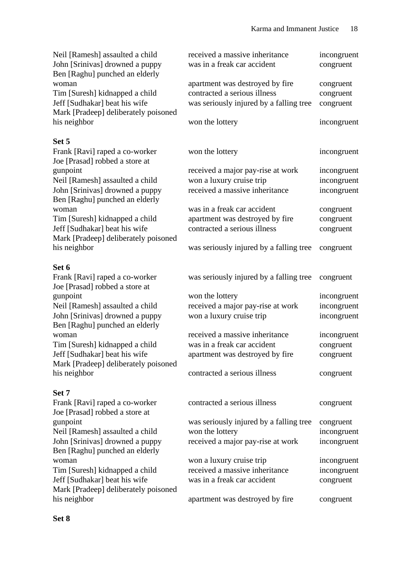| Neil [Ramesh] assaulted a child<br>John [Srinivas] drowned a puppy<br>Ben [Raghu] punched an elderly             | received a massive inheritance<br>was in a freak car accident                                              | incongruent<br>congruent            |
|------------------------------------------------------------------------------------------------------------------|------------------------------------------------------------------------------------------------------------|-------------------------------------|
| woman<br>Tim [Suresh] kidnapped a child<br>Jeff [Sudhakar] beat his wife<br>Mark [Pradeep] deliberately poisoned | apartment was destroyed by fire<br>contracted a serious illness<br>was seriously injured by a falling tree | congruent<br>congruent<br>congruent |
| his neighbor                                                                                                     | won the lottery                                                                                            | incongruent                         |
| Set 5                                                                                                            |                                                                                                            |                                     |
| Frank [Ravi] raped a co-worker<br>Joe [Prasad] robbed a store at                                                 | won the lottery                                                                                            | incongruent                         |
| gunpoint                                                                                                         | received a major pay-rise at work                                                                          | incongruent                         |
| Neil [Ramesh] assaulted a child                                                                                  | won a luxury cruise trip                                                                                   | incongruent                         |
| John [Srinivas] drowned a puppy<br>Ben [Raghu] punched an elderly                                                | received a massive inheritance                                                                             | incongruent                         |
| woman                                                                                                            | was in a freak car accident                                                                                | congruent                           |
| Tim [Suresh] kidnapped a child                                                                                   | apartment was destroyed by fire                                                                            | congruent                           |
| Jeff [Sudhakar] beat his wife<br>Mark [Pradeep] deliberately poisoned                                            | contracted a serious illness                                                                               | congruent                           |
| his neighbor                                                                                                     | was seriously injured by a falling tree                                                                    | congruent                           |
| Set 6                                                                                                            |                                                                                                            |                                     |
| Frank [Ravi] raped a co-worker<br>Joe [Prasad] robbed a store at                                                 | was seriously injured by a falling tree                                                                    | congruent                           |
| gunpoint                                                                                                         | won the lottery                                                                                            | incongruent                         |
| Neil [Ramesh] assaulted a child                                                                                  | received a major pay-rise at work                                                                          | incongruent                         |
| John [Srinivas] drowned a puppy<br>Ben [Raghu] punched an elderly                                                | won a luxury cruise trip                                                                                   | incongruent                         |
| woman                                                                                                            | received a massive inheritance                                                                             | incongruent                         |
| Tim [Suresh] kidnapped a child                                                                                   | was in a freak car accident                                                                                | congruent                           |
| Jeff [Sudhakar] beat his wife<br>Mark [Pradeep] deliberately poisoned                                            | apartment was destroyed by fire                                                                            | congruent                           |
| his neighbor                                                                                                     | contracted a serious illness                                                                               | congruent                           |
| Set 7                                                                                                            |                                                                                                            |                                     |
| Frank [Ravi] raped a co-worker<br>Joe [Prasad] robbed a store at                                                 | contracted a serious illness                                                                               | congruent                           |
| gunpoint                                                                                                         | was seriously injured by a falling tree                                                                    | congruent                           |
| Neil [Ramesh] assaulted a child                                                                                  | won the lottery                                                                                            | incongruent                         |
| John [Srinivas] drowned a puppy<br>Ben [Raghu] punched an elderly                                                | received a major pay-rise at work                                                                          | incongruent                         |
| woman                                                                                                            | won a luxury cruise trip                                                                                   | incongruent                         |
| Tim [Suresh] kidnapped a child                                                                                   | received a massive inheritance                                                                             | incongruent                         |
| Jeff [Sudhakar] beat his wife<br>Mark [Pradeep] deliberately poisoned                                            | was in a freak car accident                                                                                | congruent                           |
| his neighbor                                                                                                     | apartment was destroyed by fire                                                                            | congruent                           |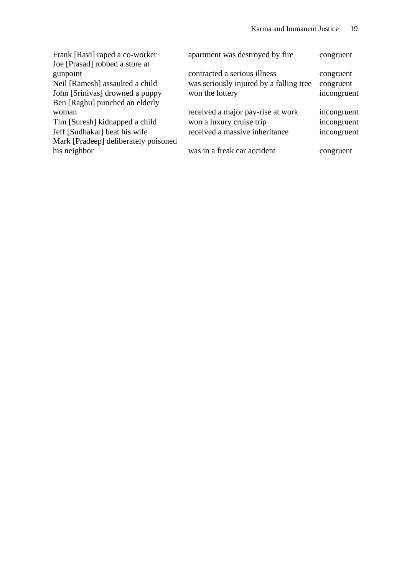| Frank [Ravi] raped a co-worker       | apartment was destroyed by fire         | congruent   |
|--------------------------------------|-----------------------------------------|-------------|
| Joe [Prasad] robbed a store at       |                                         |             |
| gunpoint                             | contracted a serious illness            | congruent   |
| Neil [Ramesh] assaulted a child      | was seriously injured by a falling tree | congruent   |
| John [Srinivas] drowned a puppy      | won the lottery                         | incongruent |
| Ben [Raghu] punched an elderly       |                                         |             |
| woman                                | received a major pay-rise at work       | incongruent |
| Tim [Suresh] kidnapped a child       | won a luxury cruise trip                | incongruent |
| Jeff [Sudhakar] beat his wife        | received a massive inheritance          | incongruent |
| Mark [Pradeep] deliberately poisoned |                                         |             |
| his neighbor                         | was in a freak car accident             | congruent   |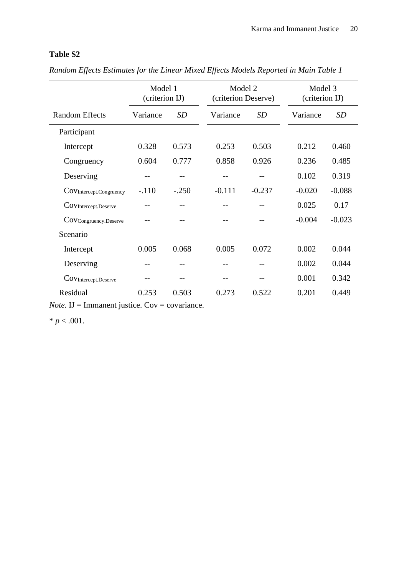# **Table S2**

|                         | Model 1<br>(criterion IJ) |         | Model 2<br>(criterion Deserve) |           | Model 3<br>(criterion IJ) |          |
|-------------------------|---------------------------|---------|--------------------------------|-----------|---------------------------|----------|
| <b>Random Effects</b>   | SD<br>Variance            |         | Variance                       | <b>SD</b> | Variance                  | SD       |
| Participant             |                           |         |                                |           |                           |          |
| Intercept               | 0.328                     | 0.573   | 0.253                          | 0.503     | 0.212                     | 0.460    |
| Congruency              | 0.604                     | 0.777   | 0.858                          | 0.926     | 0.236                     | 0.485    |
| Deserving               |                           |         |                                |           | 0.102                     | 0.319    |
| COVIntercept.Congruency | $-.110$                   | $-.250$ | $-0.111$                       | $-0.237$  | $-0.020$                  | $-0.088$ |
| COVIntercept.Deserve    |                           |         |                                |           | 0.025                     | 0.17     |
| COVCongruency.Deserve   |                           |         |                                |           | $-0.004$                  | $-0.023$ |
| Scenario                |                           |         |                                |           |                           |          |
| Intercept               | 0.005                     | 0.068   | 0.005                          | 0.072     | 0.002                     | 0.044    |
| Deserving               |                           |         |                                |           | 0.002                     | 0.044    |
| COVIntercept.Deserve    |                           |         |                                |           | 0.001                     | 0.342    |
| Residual                | 0.253                     | 0.503   | 0.273                          | 0.522     | 0.201                     | 0.449    |

*Random Effects Estimates for the Linear Mixed Effects Models Reported in Main Table 1*

 $$ 

 $* p < .001$ .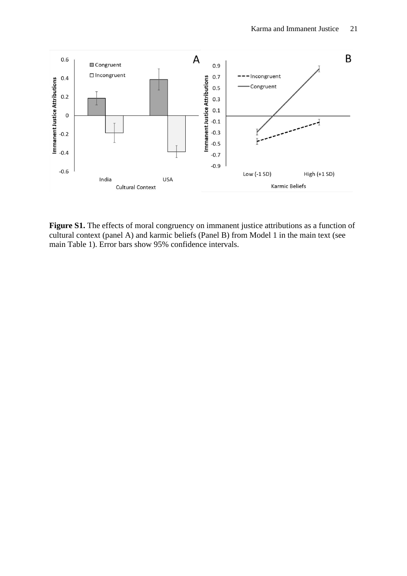

Figure S1. The effects of moral congruency on immanent justice attributions as a function of cultural context (panel A) and karmic beliefs (Panel B) from Model 1 in the main text (see main Table 1). Error bars show 95% confidence intervals.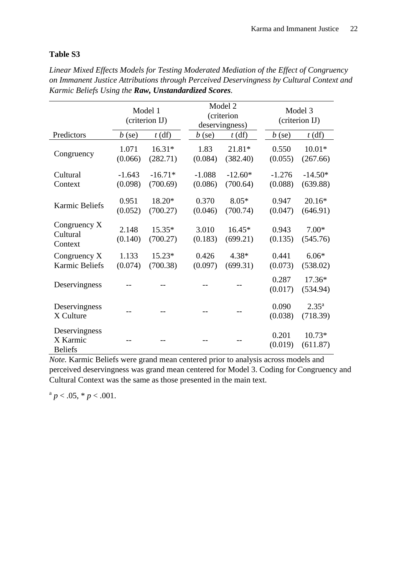## **Table S3**

|                                             | Model 1<br>(criterion IJ) |                       | Model 2<br>(criterion<br>deservingness) |                       | Model 3<br>(criterion IJ) |                            |
|---------------------------------------------|---------------------------|-----------------------|-----------------------------------------|-----------------------|---------------------------|----------------------------|
| Predictors                                  | $b$ (se)                  | $t$ (df)              | $b$ (se)                                | $t$ (df)              | $b$ (se)                  | $t$ (df)                   |
| Congruency                                  | 1.071<br>(0.066)          | $16.31*$<br>(282.71)  | 1.83<br>(0.084)                         | $21.81*$<br>(382.40)  | 0.550<br>(0.055)          | $10.01*$<br>(267.66)       |
| Cultural<br>Context                         | $-1.643$<br>(0.098)       | $-16.71*$<br>(700.69) | $-1.088$<br>(0.086)                     | $-12.60*$<br>(700.64) | $-1.276$<br>(0.088)       | $-14.50*$<br>(639.88)      |
| <b>Karmic Beliefs</b>                       | 0.951<br>(0.052)          | 18.20*<br>(700.27)    | 0.370<br>(0.046)                        | $8.05*$<br>(700.74)   | 0.947<br>(0.047)          | $20.16*$<br>(646.91)       |
| Congruency X<br>Cultural<br>Context         | 2.148<br>(0.140)          | $15.35*$<br>(700.27)  | 3.010<br>(0.183)                        | $16.45*$<br>(699.21)  | 0.943<br>(0.135)          | $7.00*$<br>(545.76)        |
| Congruency X<br><b>Karmic Beliefs</b>       | 1.133<br>(0.074)          | $15.23*$<br>(700.38)  | 0.426<br>(0.097)                        | $4.38*$<br>(699.31)   | 0.441<br>(0.073)          | $6.06*$<br>(538.02)        |
| Deservingness                               |                           |                       |                                         |                       | 0.287<br>(0.017)          | $17.36*$<br>(534.94)       |
| Deservingness<br>X Culture                  |                           |                       |                                         |                       | 0.090<br>(0.038)          | $2.35^{\rm a}$<br>(718.39) |
| Deservingness<br>X Karmic<br><b>Beliefs</b> |                           |                       |                                         |                       | 0.201<br>(0.019)          | $10.73*$<br>(611.87)       |

*Linear Mixed Effects Models for Testing Moderated Mediation of the Effect of Congruency on Immanent Justice Attributions through Perceived Deservingness by Cultural Context and Karmic Beliefs Using the Raw, Unstandardized Scores.*

*Note.* Karmic Beliefs were grand mean centered prior to analysis across models and perceived deservingness was grand mean centered for Model 3. Coding for Congruency and Cultural Context was the same as those presented in the main text.

 $a$   $p < .05$ ,  $\frac{*}{p} < .001$ .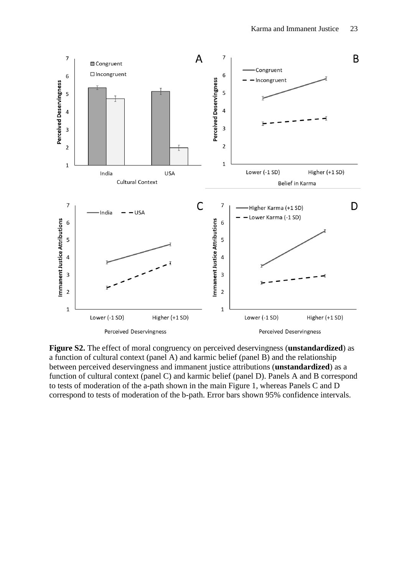

**Figure S2.** The effect of moral congruency on perceived deservingness (**unstandardized**) as a function of cultural context (panel A) and karmic belief (panel B) and the relationship between perceived deservingness and immanent justice attributions (**unstandardized**) as a function of cultural context (panel C) and karmic belief (panel D). Panels A and B correspond to tests of moderation of the a-path shown in the main Figure 1, whereas Panels C and D correspond to tests of moderation of the b-path. Error bars shown 95% confidence intervals.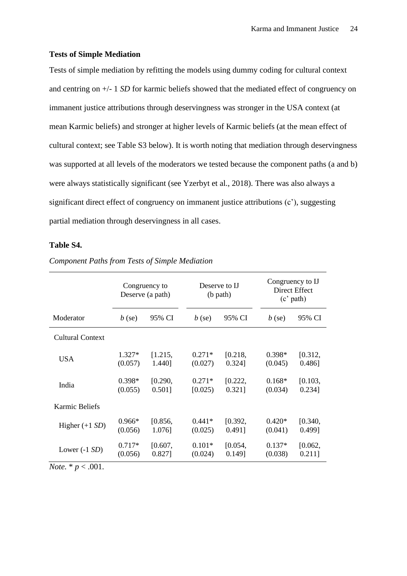### **Tests of Simple Mediation**

Tests of simple mediation by refitting the models using dummy coding for cultural context and centring on +/- 1 *SD* for karmic beliefs showed that the mediated effect of congruency on immanent justice attributions through deservingness was stronger in the USA context (at mean Karmic beliefs) and stronger at higher levels of Karmic beliefs (at the mean effect of cultural context; see Table S3 below). It is worth noting that mediation through deservingness was supported at all levels of the moderators we tested because the component paths (a and b) were always statistically significant (see Yzerbyt et al., 2018). There was also always a significant direct effect of congruency on immanent justice attributions (c'), suggesting partial mediation through deservingness in all cases.

## **Table S4.**

|                         | Congruency to<br>Deserve (a path) |           | Deserve to IJ<br>(b path) |           | Congruency to IJ<br>Direct Effect<br>$(c'$ path) |           |
|-------------------------|-----------------------------------|-----------|---------------------------|-----------|--------------------------------------------------|-----------|
| Moderator               | $b$ (se)                          | 95% CI    | $b$ (se)                  | 95% CI    | $b$ (se)                                         | 95% CI    |
| <b>Cultural Context</b> |                                   |           |                           |           |                                                  |           |
| <b>USA</b>              | $1.327*$                          | [1.215,   | $0.271*$                  | [0.218,   | $0.398*$                                         | [0.312,   |
|                         | (0.057)                           | 1.440]    | (0.027)                   | 0.324]    | (0.045)                                          | $0.486$ ] |
| India                   | $0.398*$                          | [0.290,   | $0.271*$                  | [0.222,   | $0.168*$                                         | [0.103,   |
|                         | (0.055)                           | $0.501$ ] | [0.025)                   | $0.321$ ] | (0.034)                                          | 0.234]    |
| Karmic Beliefs          |                                   |           |                           |           |                                                  |           |
| Higher $(+1 SD)$        | $0.966*$                          | [0.856,   | $0.441*$                  | [0.392,   | $0.420*$                                         | [0.340,   |
|                         | (0.056)                           | 1.076]    | (0.025)                   | 0.491]    | (0.041)                                          | 0.499]    |
| Lower $(-1 SD)$         | $0.717*$                          | [0.607,   | $0.101*$                  | [0.054,   | $0.137*$                                         | [0.062,   |
| $\sim$ $\sim$ $\sim$    | (0.056)                           | $0.827$ ] | (0.024)                   | $0.149$ ] | (0.038)                                          | $0.211$ ] |

*Component Paths from Tests of Simple Mediation*

*Note.*  $* p < .001$ .